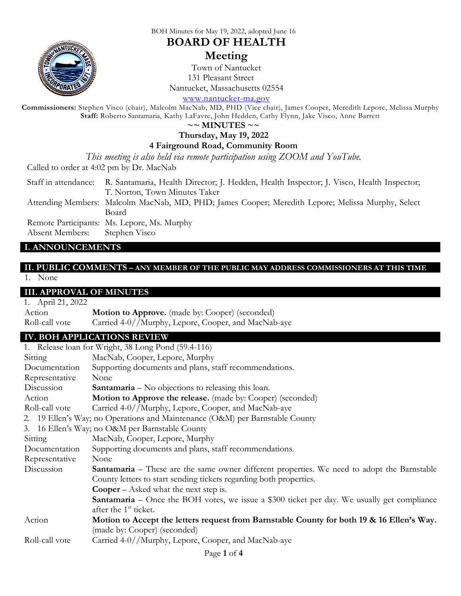

BOH Minutes for May 19, 2022, adopted June 16

# **BOARD OF HEALTH**

# **Meeting**

Town of Nantucket 131 Pleasant Street

Nantucket, Massachusetts 02554

[www.nantucket-ma.gov](http://www.nantucket-ma.gov/)

**Commissioners:** Stephen Visco (chair), Malcolm MacNab, MD, PHD (Vice chair), James Cooper, Meredith Lepore, Melissa Murphy **Staff:** Roberto Santamaria, Kathy LaFavre, John Hedden, Cathy Flynn, Jake Visco, Anne Barrett

**~~ MINUTES ~~**

### **Thursday, May 19, 2022**

#### **4 Fairground Road, Community Room**

*This meeting is also held via remote participation using ZOOM and YouTube.*

Called to order at 4:02 pm by Dr. MacNab

Staff in attendance: R. Santamaria, Health Director; J. Hedden, Health Inspector; J. Visco, Health Inspector; T. Norton, Town Minutes Taker

Attending Members: Malcolm MacNab, MD, PHD; James Cooper; Meredith Lepore; Melissa Murphy, Select Board

Remote Participants: Ms. Lepore, Ms. Murphy

Absent Members: Stephen Visco

#### **I. ANNOUNCEMENTS**

#### **II. PUBLIC COMMENTS – ANY MEMBER OF THE PUBLIC MAY ADDRESS COMMISSIONERS AT THIS TIME** 1. None

# **III. APPROVAL OF MINUTES**

| 1. April 21, 2022 |                                                        |
|-------------------|--------------------------------------------------------|
| Action            | <b>Motion to Approve.</b> (made by: Cooper) (seconded) |
| Roll-call vote    | Carried 4-0//Murphy, Lepore, Cooper, and MacNab-aye    |

# **IV. BOH APPLICATIONS REVIEW**

|                                                                              | 1. Release loan for Wright, 38 Long Pond (59.4-116)                                                |  |
|------------------------------------------------------------------------------|----------------------------------------------------------------------------------------------------|--|
| Sitting                                                                      | MacNab, Cooper, Lepore, Murphy                                                                     |  |
| Documentation                                                                | Supporting documents and plans, staff recommendations.                                             |  |
| Representative                                                               | None                                                                                               |  |
| Discussion                                                                   | <b>Santamaria</b> – No objections to releasing this loan.                                          |  |
| Action                                                                       | Motion to Approve the release. (made by: Cooper) (seconded)                                        |  |
| Roll-call vote                                                               | Carried 4-0//Murphy, Lepore, Cooper, and MacNab-aye                                                |  |
| 2. 19 Ellen's Way; no Operations and Maintenance (O&M) per Barnstable County |                                                                                                    |  |
| 3. 16 Ellen's Way; no O&M per Barnstable County                              |                                                                                                    |  |
| Sitting                                                                      | MacNab, Cooper, Lepore, Murphy                                                                     |  |
| Documentation                                                                | Supporting documents and plans, staff recommendations.                                             |  |
| Representative                                                               | None                                                                                               |  |
| Discussion                                                                   | <b>Santamaria</b> – These are the same owner different properties. We need to adopt the Barnstable |  |
|                                                                              | County letters to start sending tickets regarding both properties.                                 |  |
|                                                                              | <b>Cooper</b> – Asked what the next step is.                                                       |  |
|                                                                              | <b>Santamaria</b> – Once the BOH votes, we issue a \$300 ticket per day. We usually get compliance |  |
|                                                                              | after the 1 <sup>st</sup> ticket.                                                                  |  |
| Action                                                                       | Motion to Accept the letters request from Barnstable County for both 19 & 16 Ellen's Way.          |  |
|                                                                              | (made by: Cooper) (seconded)                                                                       |  |
| Roll-call vote                                                               | Carried 4-0//Murphy, Lepore, Cooper, and MacNab-aye                                                |  |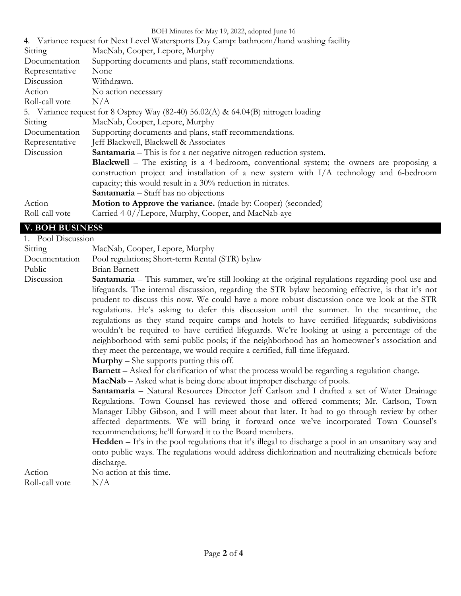|                        | BOH Minutes for May 19, 2022, adopted June 16                                                                                                                                                                                                                                                               |  |
|------------------------|-------------------------------------------------------------------------------------------------------------------------------------------------------------------------------------------------------------------------------------------------------------------------------------------------------------|--|
|                        | 4. Variance request for Next Level Watersports Day Camp: bathroom/hand washing facility                                                                                                                                                                                                                     |  |
| Sitting                | MacNab, Cooper, Lepore, Murphy                                                                                                                                                                                                                                                                              |  |
| Documentation          | Supporting documents and plans, staff recommendations.                                                                                                                                                                                                                                                      |  |
| Representative         | None                                                                                                                                                                                                                                                                                                        |  |
| Discussion             | Withdrawn.                                                                                                                                                                                                                                                                                                  |  |
| Action                 | No action necessary                                                                                                                                                                                                                                                                                         |  |
| Roll-call vote         | N/A                                                                                                                                                                                                                                                                                                         |  |
|                        | 5. Variance request for 8 Osprey Way (82-40) $56.02(A)$ & 64.04(B) nitrogen loading                                                                                                                                                                                                                         |  |
| Sitting                | MacNab, Cooper, Lepore, Murphy                                                                                                                                                                                                                                                                              |  |
| Documentation          | Supporting documents and plans, staff recommendations.                                                                                                                                                                                                                                                      |  |
| Representative         | Jeff Blackwell, Blackwell & Associates                                                                                                                                                                                                                                                                      |  |
| Discussion             | <b>Santamaria</b> – This is for a net negative nitrogen reduction system.                                                                                                                                                                                                                                   |  |
|                        | <b>Blackwell</b> – The existing is a 4-bedroom, conventional system; the owners are proposing a<br>construction project and installation of a new system with I/A technology and 6-bedroom<br>capacity; this would result in a $30\%$ reduction in nitrates.<br><b>Santamaria</b> – Staff has no objections |  |
| Action                 | <b>Motion to Approve the variance.</b> (made by: Cooper) (seconded)                                                                                                                                                                                                                                         |  |
| Roll-call vote         | Carried 4-0//Lepore, Murphy, Cooper, and MacNab-aye                                                                                                                                                                                                                                                         |  |
| <b>V. BOH BUSINESS</b> |                                                                                                                                                                                                                                                                                                             |  |

| 1. Pool Discussion |                                                                                                                                                                                                                                                                                                                                                                                                                                                                                                                                                                                                                                                                                                                                                                                                                                                                                                                                                                                                                                                                                                                                                                                                                                                                                                                                                                                                                                                                                                                                                                                                                                                                                                                |  |
|--------------------|----------------------------------------------------------------------------------------------------------------------------------------------------------------------------------------------------------------------------------------------------------------------------------------------------------------------------------------------------------------------------------------------------------------------------------------------------------------------------------------------------------------------------------------------------------------------------------------------------------------------------------------------------------------------------------------------------------------------------------------------------------------------------------------------------------------------------------------------------------------------------------------------------------------------------------------------------------------------------------------------------------------------------------------------------------------------------------------------------------------------------------------------------------------------------------------------------------------------------------------------------------------------------------------------------------------------------------------------------------------------------------------------------------------------------------------------------------------------------------------------------------------------------------------------------------------------------------------------------------------------------------------------------------------------------------------------------------------|--|
| Sitting            | MacNab, Cooper, Lepore, Murphy                                                                                                                                                                                                                                                                                                                                                                                                                                                                                                                                                                                                                                                                                                                                                                                                                                                                                                                                                                                                                                                                                                                                                                                                                                                                                                                                                                                                                                                                                                                                                                                                                                                                                 |  |
| Documentation      | Pool regulations; Short-term Rental (STR) bylaw                                                                                                                                                                                                                                                                                                                                                                                                                                                                                                                                                                                                                                                                                                                                                                                                                                                                                                                                                                                                                                                                                                                                                                                                                                                                                                                                                                                                                                                                                                                                                                                                                                                                |  |
| Public             | Brian Barnett                                                                                                                                                                                                                                                                                                                                                                                                                                                                                                                                                                                                                                                                                                                                                                                                                                                                                                                                                                                                                                                                                                                                                                                                                                                                                                                                                                                                                                                                                                                                                                                                                                                                                                  |  |
| Discussion         | <b>Santamaria</b> – This summer, we're still looking at the original regulations regarding pool use and<br>lifeguards. The internal discussion, regarding the STR bylaw becoming effective, is that it's not<br>prudent to discuss this now. We could have a more robust discussion once we look at the STR<br>regulations. He's asking to defer this discussion until the summer. In the meantime, the<br>regulations as they stand require camps and hotels to have certified lifeguards; subdivisions<br>wouldn't be required to have certified lifeguards. We're looking at using a percentage of the<br>neighborhood with semi-public pools; if the neighborhood has an homeowner's association and<br>they meet the percentage, we would require a certified, full-time lifeguard.<br><b>Murphy</b> $-$ She supports putting this off.<br><b>Barnett</b> – Asked for clarification of what the process would be regarding a regulation change.<br><b>MacNab</b> – Asked what is being done about improper discharge of pools.<br>Santamaria - Natural Resources Director Jeff Carlson and I drafted a set of Water Drainage<br>Regulations. Town Counsel has reviewed those and offered comments; Mr. Carlson, Town<br>Manager Libby Gibson, and I will meet about that later. It had to go through review by other<br>affected departments. We will bring it forward once we've incorporated Town Counsel's<br>recommendations; he'll forward it to the Board members.<br><b>Hedden</b> – It's in the pool regulations that it's illegal to discharge a pool in an unsanitary way and<br>onto public ways. The regulations would address dichlorination and neutralizing chemicals before<br>discharge. |  |
| Action             | No action at this time.                                                                                                                                                                                                                                                                                                                                                                                                                                                                                                                                                                                                                                                                                                                                                                                                                                                                                                                                                                                                                                                                                                                                                                                                                                                                                                                                                                                                                                                                                                                                                                                                                                                                                        |  |
| Roll-call vote     | N/A                                                                                                                                                                                                                                                                                                                                                                                                                                                                                                                                                                                                                                                                                                                                                                                                                                                                                                                                                                                                                                                                                                                                                                                                                                                                                                                                                                                                                                                                                                                                                                                                                                                                                                            |  |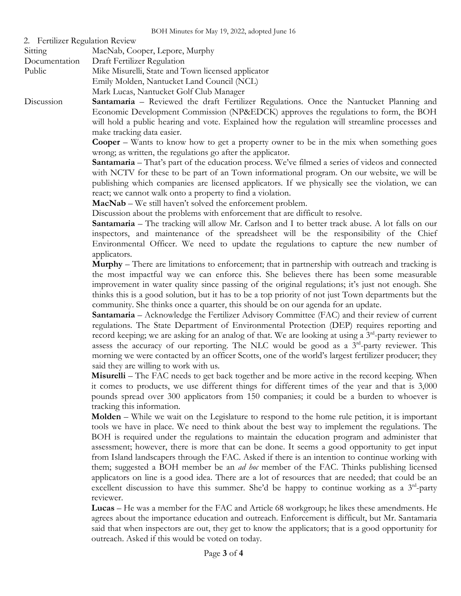| <b>Fertilizer Regulation Review</b><br>2. |  |
|-------------------------------------------|--|
|-------------------------------------------|--|

| Sitting       | MacNab, Cooper, Lepore, Murphy                     |
|---------------|----------------------------------------------------|
| Documentation | Draft Fertilizer Regulation                        |
| Public        | Mike Misurelli, State and Town licensed applicator |
|               | Emily Molden, Nantucket Land Council (NCL)         |
|               | Mark Lucas, Nantucket Golf Club Manager            |

Discussion **Santamaria** – Reviewed the draft Fertilizer Regulations. Once the Nantucket Planning and Economic Development Commission (NP&EDCK) approves the regulations to form, the BOH will hold a public hearing and vote. Explained how the regulation will streamline processes and make tracking data easier.

> **Cooper** – Wants to know how to get a property owner to be in the mix when something goes wrong; as written, the regulations go after the applicator.

> **Santamaria** – That's part of the education process. We've filmed a series of videos and connected with NCTV for these to be part of an Town informational program. On our website, we will be publishing which companies are licensed applicators. If we physically see the violation, we can react; we cannot walk onto a property to find a violation.

**MacNab** – We still haven't solved the enforcement problem.

Discussion about the problems with enforcement that are difficult to resolve.

**Santamaria** – The tracking will allow Mr. Carlson and I to better track abuse. A lot falls on our inspectors, and maintenance of the spreadsheet will be the responsibility of the Chief Environmental Officer. We need to update the regulations to capture the new number of applicators.

**Murphy** – There are limitations to enforcement; that in partnership with outreach and tracking is the most impactful way we can enforce this. She believes there has been some measurable improvement in water quality since passing of the original regulations; it's just not enough. She thinks this is a good solution, but it has to be a top priority of not just Town departments but the community. She thinks once a quarter, this should be on our agenda for an update.

**Santamaria** – Acknowledge the Fertilizer Advisory Committee (FAC) and their review of current regulations. The State Department of Environmental Protection (DEP) requires reporting and record keeping; we are asking for an analog of that. We are looking at using a 3<sup>rd</sup>-party reviewer to assess the accuracy of our reporting. The NLC would be good as a  $3^{rd}$ -party reviewer. This morning we were contacted by an officer Scotts, one of the world's largest fertilizer producer; they said they are willing to work with us.

**Misurelli** – The FAC needs to get back together and be more active in the record keeping. When it comes to products, we use different things for different times of the year and that is 3,000 pounds spread over 300 applicators from 150 companies; it could be a burden to whoever is tracking this information.

**Molden** – While we wait on the Legislature to respond to the home rule petition, it is important tools we have in place. We need to think about the best way to implement the regulations. The BOH is required under the regulations to maintain the education program and administer that assessment; however, there is more that can be done. It seems a good opportunity to get input from Island landscapers through the FAC. Asked if there is an intention to continue working with them; suggested a BOH member be an *ad hoc* member of the FAC. Thinks publishing licensed applicators on line is a good idea. There are a lot of resources that are needed; that could be an excellent discussion to have this summer. She'd be happy to continue working as a  $3<sup>rd</sup>$ -party reviewer.

**Lucas** – He was a member for the FAC and Article 68 workgroup; he likes these amendments. He agrees about the importance education and outreach. Enforcement is difficult, but Mr. Santamaria said that when inspectors are out, they get to know the applicators; that is a good opportunity for outreach. Asked if this would be voted on today.